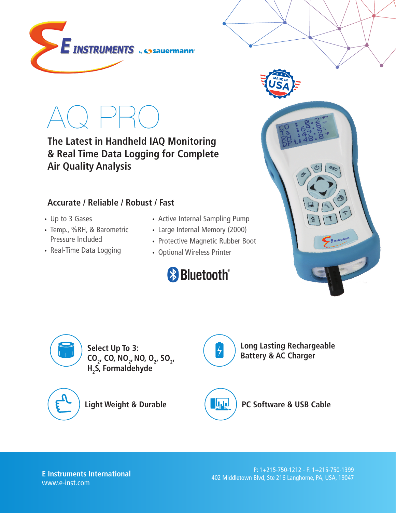

AQ PRO

**The Latest in Handheld IAQ Monitoring & Real Time Data Logging for Complete Air Quality Analysis**

## **Accurate / Reliable / Robust / Fast**

- Up to 3 Gases
- Temp., %RH, & Barometric Pressure Included
- Real-Time Data Logging
- Active Internal Sampling Pump
- Large Internal Memory (2000)
- Protective Magnetic Rubber Boot
- Optional Wireless Printer







**Select Up To 3: CO<sub>2</sub>, CO, NO<sub>2</sub>, NO, O<sub>2</sub>, SO<sub>2</sub>, H2 S, Formaldehyde**



**Light Weight & Durable PC Software & USB Cable** 



**Long Lasting Rechargeable Battery & AC Charger**

**E Instruments International** www.e-inst.com